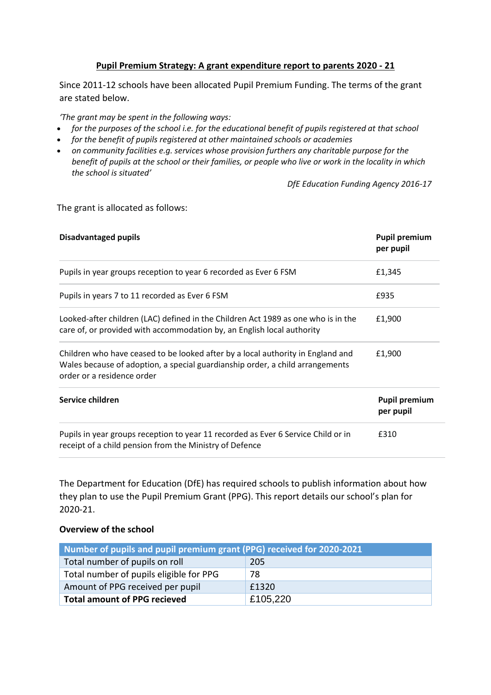## **Pupil Premium Strategy: A grant expenditure report to parents 2020 - 21**

Since 2011-12 schools have been allocated Pupil Premium Funding. The terms of the grant are stated below.

*'The grant may be spent in the following ways:*

- *for the purposes of the school i.e. for the educational benefit of pupils registered at that school*
- *for the benefit of pupils registered at other maintained schools or academies*
- *on community facilities e.g. services whose provision furthers any charitable purpose for the benefit of pupils at the school or their families, or people who live or work in the locality in which the school is situated'*

*DfE Education Funding Agency 2016-17*

#### The grant is allocated as follows:

| <b>Disadvantaged pupils</b>                                                                                                                                                                    | <b>Pupil premium</b><br>per pupil |
|------------------------------------------------------------------------------------------------------------------------------------------------------------------------------------------------|-----------------------------------|
| Pupils in year groups reception to year 6 recorded as Ever 6 FSM                                                                                                                               | £1,345                            |
| Pupils in years 7 to 11 recorded as Ever 6 FSM                                                                                                                                                 | £935                              |
| Looked-after children (LAC) defined in the Children Act 1989 as one who is in the<br>care of, or provided with accommodation by, an English local authority                                    | £1,900                            |
| Children who have ceased to be looked after by a local authority in England and<br>Wales because of adoption, a special guardianship order, a child arrangements<br>order or a residence order | £1,900                            |
| Service children                                                                                                                                                                               | <b>Pupil premium</b><br>per pupil |
| Pupils in year groups reception to year 11 recorded as Ever 6 Service Child or in<br>receipt of a child pension from the Ministry of Defence                                                   | £310                              |

The Department for Education (DfE) has required schools to publish information about how they plan to use the Pupil Premium Grant (PPG). This report details our school's plan for 2020-21.

### **Overview of the school**

| Number of pupils and pupil premium grant (PPG) received for 2020-2021 |          |  |  |  |
|-----------------------------------------------------------------------|----------|--|--|--|
| Total number of pupils on roll                                        | 205      |  |  |  |
| Total number of pupils eligible for PPG                               | 78       |  |  |  |
| Amount of PPG received per pupil                                      | £1320    |  |  |  |
| <b>Total amount of PPG recieved</b>                                   | £105,220 |  |  |  |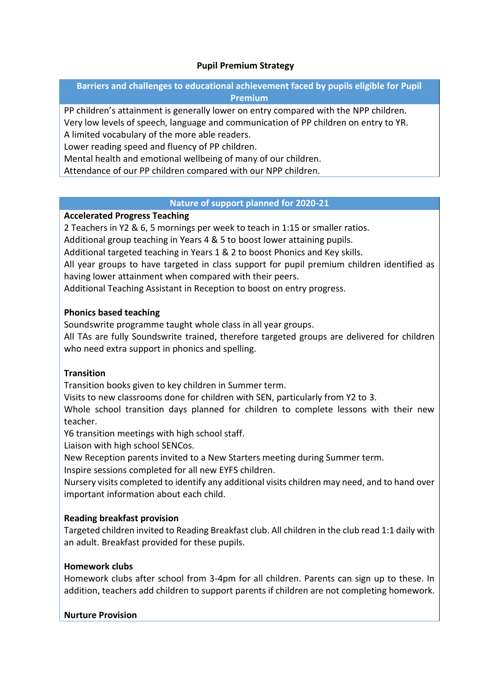## **Pupil Premium Strategy**

## **Barriers and challenges to educational achievement faced by pupils eligible for Pupil Premium**

PP children's attainment is generally lower on entry compared with the NPP children. Very low levels of speech, language and communication of PP children on entry to YR. A limited vocabulary of the more able readers.

Lower reading speed and fluency of PP children.

Mental health and emotional wellbeing of many of our children.

Attendance of our PP children compared with our NPP children.

### **Nature of support planned for 2020-21**

## **Accelerated Progress Teaching**

2 Teachers in Y2 & 6, 5 mornings per week to teach in 1:15 or smaller ratios.

Additional group teaching in Years 4 & 5 to boost lower attaining pupils.

Additional targeted teaching in Years 1 & 2 to boost Phonics and Key skills.

All year groups to have targeted in class support for pupil premium children identified as having lower attainment when compared with their peers.

Additional Teaching Assistant in Reception to boost on entry progress.

## **Phonics based teaching**

Soundswrite programme taught whole class in all year groups.

All TAs are fully Soundswrite trained, therefore targeted groups are delivered for children who need extra support in phonics and spelling.

# **Transition**

Transition books given to key children in Summer term.

Visits to new classrooms done for children with SEN, particularly from Y2 to 3.

Whole school transition days planned for children to complete lessons with their new teacher.

Y6 transition meetings with high school staff.

Liaison with high school SENCos.

New Reception parents invited to a New Starters meeting during Summer term.

Inspire sessions completed for all new EYFS children.

Nursery visits completed to identify any additional visits children may need, and to hand over important information about each child.

# **Reading breakfast provision**

Targeted children invited to Reading Breakfast club. All children in the club read 1:1 daily with an adult. Breakfast provided for these pupils.

# **Homework clubs**

Homework clubs after school from 3-4pm for all children. Parents can sign up to these. In addition, teachers add children to support parents if children are not completing homework.

### **Nurture Provision**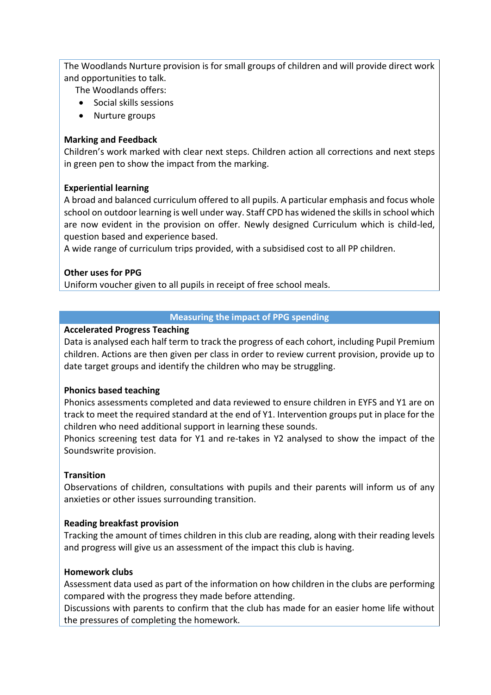The Woodlands Nurture provision is for small groups of children and will provide direct work and opportunities to talk.

The Woodlands offers:

- Social skills sessions
- Nurture groups

### **Marking and Feedback**

Children's work marked with clear next steps. Children action all corrections and next steps in green pen to show the impact from the marking.

## **Experiential learning**

A broad and balanced curriculum offered to all pupils. A particular emphasis and focus whole school on outdoor learning is well under way. Staff CPD has widened the skills in school which are now evident in the provision on offer. Newly designed Curriculum which is child-led, question based and experience based.

A wide range of curriculum trips provided, with a subsidised cost to all PP children.

### **Other uses for PPG**

Uniform voucher given to all pupils in receipt of free school meals.

## **Measuring the impact of PPG spending**

### **Accelerated Progress Teaching**

Data is analysed each half term to track the progress of each cohort, including Pupil Premium children. Actions are then given per class in order to review current provision, provide up to date target groups and identify the children who may be struggling.

### **Phonics based teaching**

Phonics assessments completed and data reviewed to ensure children in EYFS and Y1 are on track to meet the required standard at the end of Y1. Intervention groups put in place for the children who need additional support in learning these sounds.

Phonics screening test data for Y1 and re-takes in Y2 analysed to show the impact of the Soundswrite provision.

# **Transition**

Observations of children, consultations with pupils and their parents will inform us of any anxieties or other issues surrounding transition.

### **Reading breakfast provision**

Tracking the amount of times children in this club are reading, along with their reading levels and progress will give us an assessment of the impact this club is having.

### **Homework clubs**

Assessment data used as part of the information on how children in the clubs are performing compared with the progress they made before attending.

Discussions with parents to confirm that the club has made for an easier home life without the pressures of completing the homework.